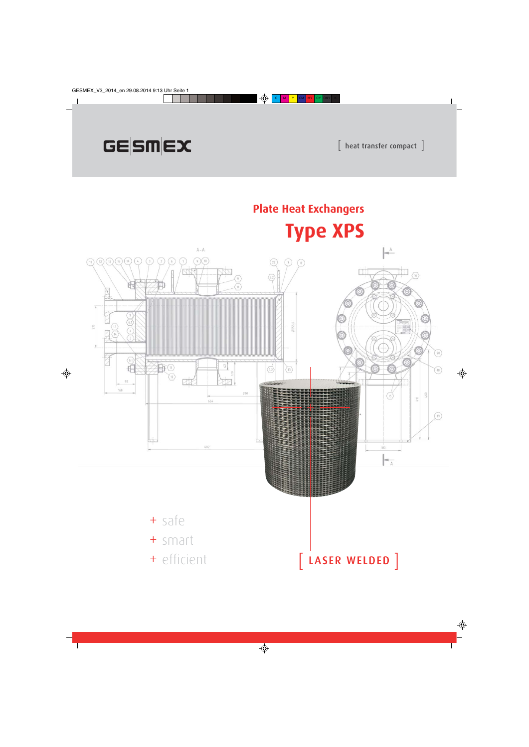# GESMEX



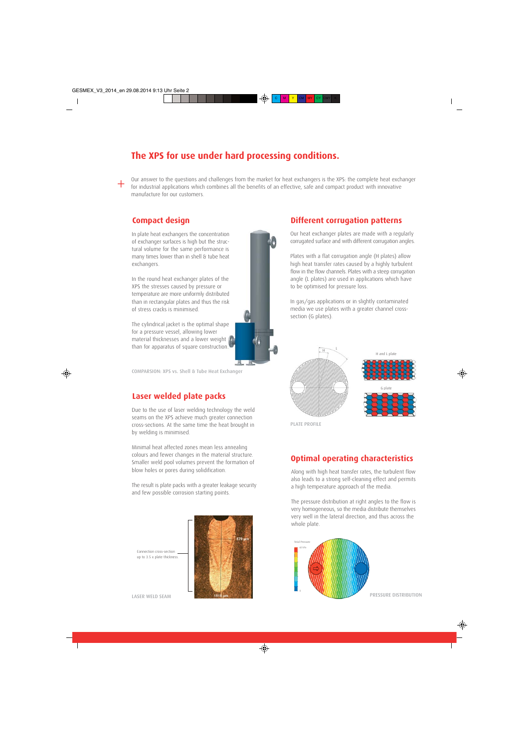### **The XPS for use under hard processing conditions.**

Our answer to the questions and challenges from the market for heat exchangers is the XPS: the complete heat exchanger for industrial applications which combines all the benefits of an effective, safe and compact product with innovative manufacture for our customers.

#### **Compact design Different corrugation patterns**

+

In plate heat exchangers the concentration of exchanger surfaces is high but the structural volume for the same performance is many times lower than in shell & tube heat exchangers.

In the round heat exchanger plates of the XPS the stresses caused by pressure or temperature are more uniformly distributed than in rectangular plates and thus the risk of stress cracks is minimised.

The cylindrical jacket is the optimal shape for a pressure vessel, allowing lower material thicknesses and a lower weight than for apparatus of square construction.

COMPARSION: XPS vs. Shell & Tube Heat Exchanger

#### **Laser welded plate packs**

Due to the use of laser welding technology the weld seams on the XPS achieve much greater connection cross-sections. At the same time the heat brought in by welding is minimised.

Minimal heat affected zones mean less annealing colours and fewer changes in the material structure. Smaller weld pool volumes prevent the formation of blow holes or pores during solidification.

The result is plate packs with a greater leakage security and few possible corrosion starting points.



Connection cross-section up to 3.5 x plate thickness.

#### Our heat exchanger plates are made with a regularly corrugated surface and with different corrugation angles.

Plates with a flat corrugation angle (H plates) allow high heat transfer rates caused by a highly turbulent flow in the flow channels. Plates with a steep corrugation angle (L plates) are used in applications which have to be optimised for pressure loss.

In gas/gas applications or in slightly contaminated media we use plates with a greater channel crosssection (G plates).



PLATE PROFILE

#### **Optimal operating characteristics**

Along with high heat transfer rates, the turbulent flow also leads to a strong self-cleaning effect and permits a high temperature approach of the media.

The pressure distribution at right angles to the flow is very homogeneous, so the media distribute themselves very well in the lateral direction, and thus across the whole plate.

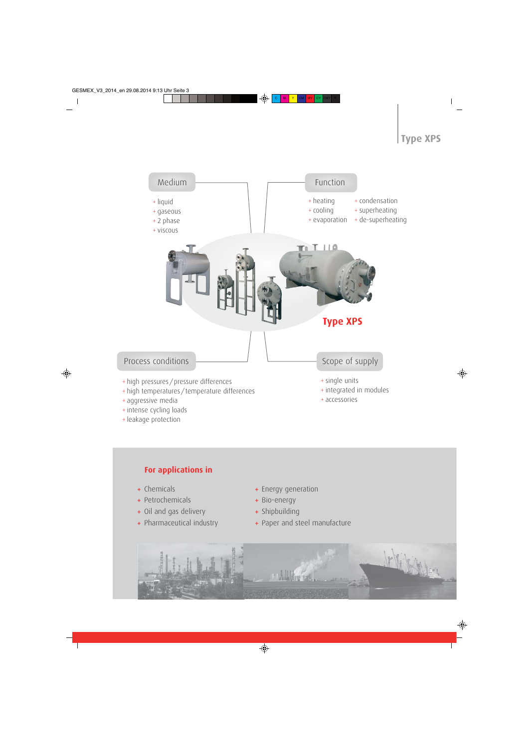# **Type XPS**



- + aggressive media
- + intense cycling loads
- + leakage protection

+ accessories

#### **For applications in**

- Chemicals +
- Petrochemicals +
- Oil and gas delivery +
- Pharmaceutical industry +
- Energy generation +
- Bio-energy +
- Shipbuilding +
- Paper and steel manufacture +

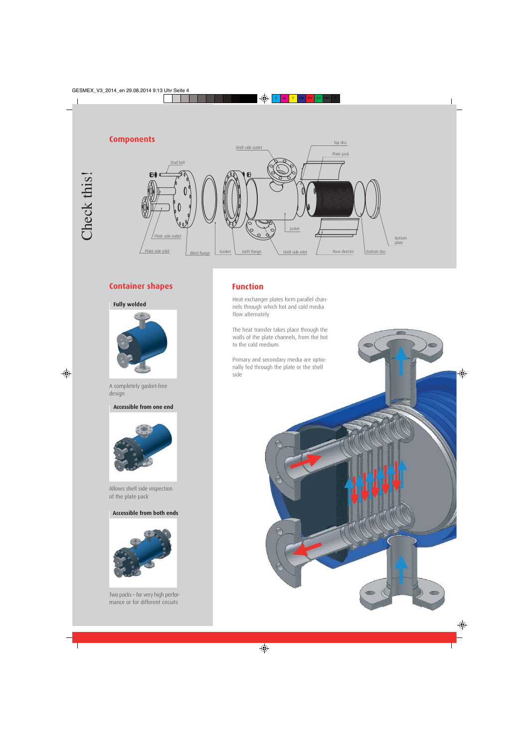#### **Components**



### **Container shapes Function**

**Fully welded**



A completely gasket-free design

**Accessible from one end**



Allows shell side inspection of the plate pack

#### **Accessible from both ends**



Two packs – for very high performance or for different circuits

Heat exchanger plates form parallel channels through which hot and cold media flow alternately.

The heat transfer takes place through the walls of the plate channels, from the hot to the cold medium.

Primary and secondary media are optionally fed through the plate or the shell side

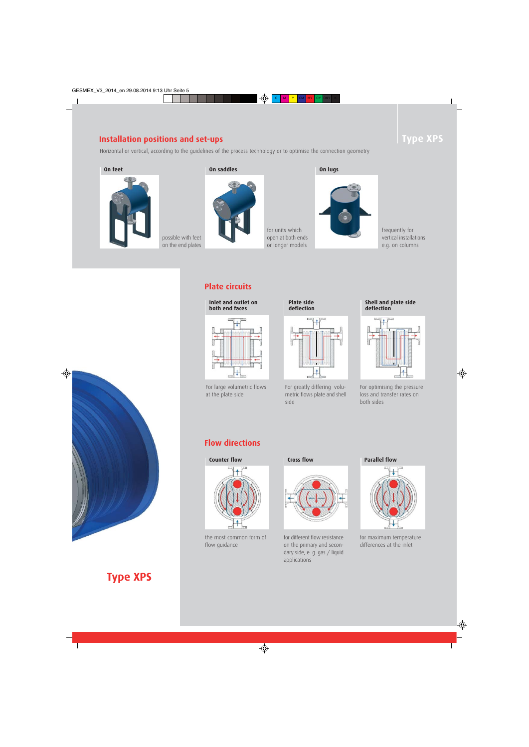### **Installation positions and set-ups**

possible with feet on the end plates

Horizontal or vertical, according to the guidelines of the process technology or to optimise the connection geometry



#### **On feet On saddles On lugs**



**Plate circuits**



For large volumetric flows at the plate side



for units which open at both ends or longer models

For greatly differing volumetric flows plate and shell side

#### frequently for vertical installations e.g. on columns



For optimising the pressure loss and transfer rates on both sides

### **Flow directions**



the most common form of flow guidance



for different flow resistance on the primary and secondary side, e. g. gas / liquid applications



for maximum temperature differences at the inlet



# **Type XPS**

# **Type XPS**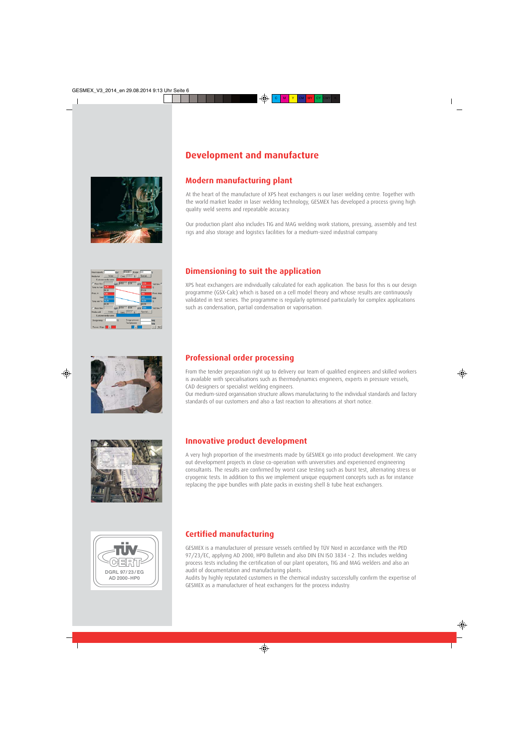## **Development and manufacture**



#### **Modern manufacturing plant**

At the heart of the manufacture of XPS heat exchangers is our laser welding centre. Together with the world market leader in laser welding technology, GESMEX has developed a process giving high quality weld seems and repeatable accuracy.

Our production plant also includes TIG and MAG welding work stations, pressing, assembly and test rigs and also storage and logistics facilities for a medium-sized industrial company.

#### **Dimensioning to suit the application**

XPS heat exchangers are individually calculated for each application. The basis for this is our design programme (GSX-Calc) which is based on a cell model theory and whose results are continuously validated in test series. The programme is regularly optimised particularly for complex applications such as condensation, partial condensation or vaporisation.



#### **Professional order processing**

From the tender preparation right up to delivery our team of qualified engineers and skilled workers is available with specialisations such as thermodynamics engineers, experts in pressure vessels, CAD designers or specialist welding engineers.

Our medium-sized organisation structure allows manufacturing to the individual standards and factory standards of our customers and also a fast reaction to alterations at short notice.



#### **Innovative product development**

A very high proportion of the investments made by GESMEX go into product development. We carry out development projects in close co-operation with universities and experienced engineering consultants. The results are confirmed by worst case testing such as burst test, alternating stress or cryogenic tests. In addition to this we implement unique equipment concepts such as for instance replacing the pipe bundles with plate packs in existing shell & tube heat exchangers.



#### **Certified manufacturing**

GESMEX is a manufacturer of pressure vessels certified by TÜV Nord in accordance with the PED 97/23/EC, applying AD 2000, HP0 Bulletin and also DIN EN ISO 3834 - 2. This includes welding process tests including the certification of our plant operators, TIG and MAG welders and also an audit of documentation and manufacturing plants.

Audits by highly reputated customers in the chemical industry successfully confirm the expertise of GESMEX as a manufacturer of heat exchangers for the process industry.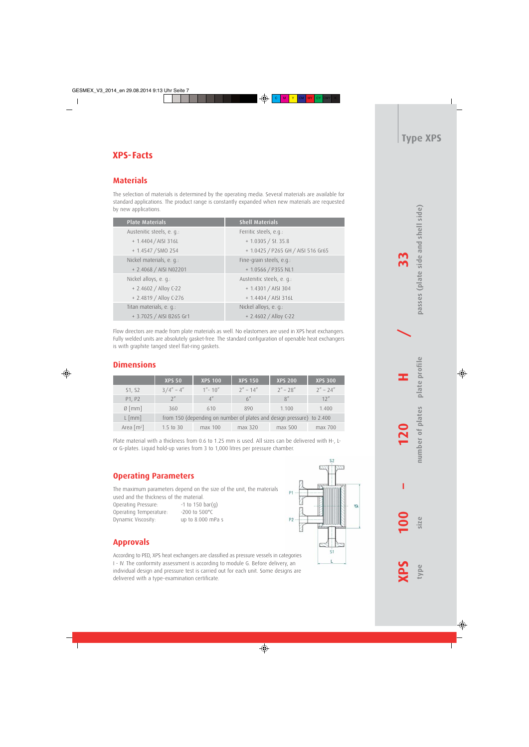### **XPS-Facts**

#### **Materials**

The selection of materials is determined by the operating media. Several materials are available for standard applications. The product range is constantly expanded when new materials are requested by new applications.

| <b>Plate Materials</b>    | <b>Shell Materials</b>             |
|---------------------------|------------------------------------|
| Austenitic steels, e. q.: | Ferritic steels, e.g.:             |
| + 1.4404 / AISI 316L      | $+1.0305 / St.35.8$                |
| + 1.4547 / SMO 254        | + 1.0425 / P265 GH / AISI 516 Gr65 |
| Nickel materials, e. q.:  | Fine-grain steels, e.g.:           |
| + 2.4068 / AISI N02201    | + 1.0566 / P355 NL1                |
| Nickel alloys, e. g.:     | Austenitic steels, e. q.:          |
| + 2.4602 / Alloy C-22     | $+ 1.4301 / AISI 304$              |
| + 2.4819 / Alloy C-276    | + 1.4404 / AISI 316L               |
| Titan materials, e. q.:   | Nickel alloys, e. q.:              |
| + 3.7025 / AISI B265 Gr1  | + 2.4602 / Alloy C-22              |

Flow directors are made from plate materials as well. No elastomers are used in XPS heat exchangers. Fully welded units are absolutely gasket-free. The standard configuration of openable heat exchangers is with graphite tanged steel flat-ring gaskets.

#### **Dimensions**

|                          | <b>XPS 50</b>                                                         | <b>XPS 100</b> | <b>XPS 150</b> | <b>XPS 200</b> | <b>XPS 300</b> |  |
|--------------------------|-----------------------------------------------------------------------|----------------|----------------|----------------|----------------|--|
| S1, S2                   | $3/4'' - 4''$                                                         | $1'' - 10''$   | $2'' - 14''$   | $2'' - 28''$   | $2'' - 24''$   |  |
| P1, P2                   | $2^{\prime\prime}$                                                    | 4''            | 6''            | R''            | 12''           |  |
| $\emptyset$ [mm]         | 360                                                                   | 610            | 890            | 1.100          | 1.400          |  |
| $L \text{ [mm]}$         | from 150 (depending on number of plates and design pressure) to 2.400 |                |                |                |                |  |
| Area $\lceil m^2 \rceil$ | $1.5$ to 30                                                           | max 100        | max 320        | max 500        | $max$ 700      |  |

Plate material with a thickness from 0.6 to 1.25 mm is used. All sizes can be delivered with H-, Lor G-plates. Liquid hold-up varies from 3 to 1,000 litres per pressure chamber.

#### **Operating Parameters**

The maximum parameters depend on the size of the unit, the materials used and the thickness of the material.

Operating Pressure: -1 to 150 bar(g) Operating Temperature: -200 to 500°C Dynamic Viscosity: up to 8.000 mPa s



According to PED, XPS heat exchangers are classified as pressure vessels in categories I - IV. The conformity assessment is according to module G. Before delivery, an individual design and pressure test is carried out for each unit. Some designs are delivered with a type-examination certificate.